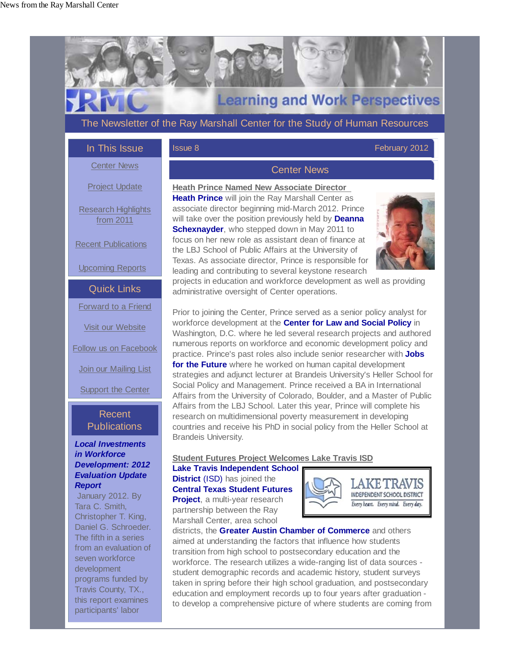

# **Learning and Work Perspectives**

The Newsletter of the Ray Marshall Center for the Study of Human Resources

## In This Issue

## **Issue 8 February 2012**

Center News

Project Update

Research Highlights from 2011

Recent Publications

Upcoming Reports

Quick Links

Forward to a Friend

Visit our Website

Follow us on Facebook

Join our Mailing List

Support the Center

# Recent **Publications**

## *Local Investments in Workforce Development: 2012 Evaluation Update Report*

 January 2012. By Tara C. Smith, Christopher T. King, Daniel G. Schroeder. The fifth in a series from an evaluation of seven workforce development programs funded by Travis County, TX., this report examines participants' labor

## Center News

**Heath Prince Named New Associate Director Heath Prince** will join the Ray Marshall Center as associate director beginning mid-March 2012. Prince will take over the position previously held by **Deanna Schexnayder**, who stepped down in May 2011 to focus on her new role as assistant dean of finance at the LBJ School of Public Affairs at the University of Texas. As associate director, Prince is responsible for leading and contributing to several keystone research



projects in education and workforce development as well as providing administrative oversight of Center operations.

Prior to joining the Center, Prince served as a senior policy analyst for workforce development at the **Center for Law and Social Policy** in Washington, D.C. where he led several research projects and authored numerous reports on workforce and economic development policy and practice. Prince's past roles also include senior researcher with **Jobs for the Future** where he worked on human capital development strategies and adjunct lecturer at Brandeis University's Heller School for Social Policy and Management. Prince received a BA in International Affairs from the University of Colorado, Boulder, and a Master of Public Affairs from the LBJ School. Later this year, Prince will complete his research on multidimensional poverty measurement in developing countries and receive his PhD in social policy from the Heller School at Brandeis University.

## **Student Futures Project Welcomes Lake Travis ISD**

#### **Lake Travis Independent School District** (ISD) has joined the **Central Texas Student Futures Project**, a multi-year research

partnership between the Ray Marshall Center, area school



districts, the **Greater Austin Chamber of Commerce** and others aimed at understanding the factors that influence how students transition from high school to postsecondary education and the workforce. The research utilizes a wide-ranging list of data sources student demographic records and academic history, student surveys taken in spring before their high school graduation, and postsecondary education and employment records up to four years after graduation to develop a comprehensive picture of where students are coming from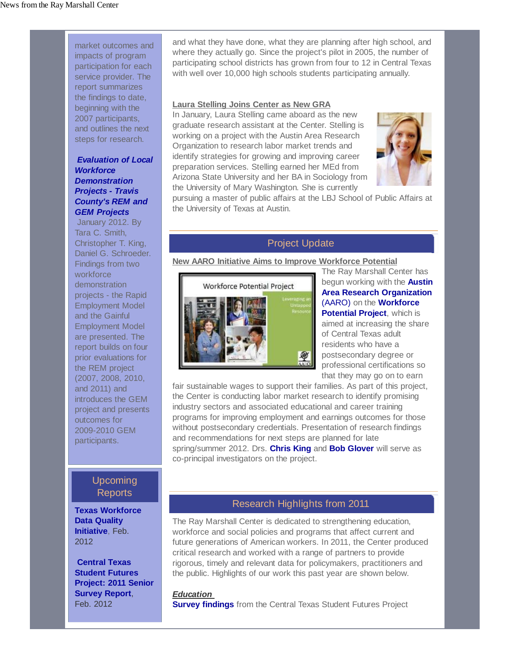market outcomes and impacts of program participation for each service provider. The report summarizes the findings to date, beginning with the 2007 participants, and outlines the next steps for research.

## *Evaluation of Local Workforce Demonstration Projects - Travis County's REM and GEM Projects*

 January 2012. By Tara C. Smith, Christopher T. King, Daniel G. Schroeder. Findings from two workforce demonstration projects - the Rapid Employment Model and the Gainful Employment Model are presented. The report builds on four prior evaluations for the REM project (2007, 2008, 2010, and 2011) and introduces the GEM project and presents outcomes for 2009-2010 GEM participants.

## Upcoming Reports

**Texas Workforce Data Quality Initiative**, Feb. 2012

**Central Texas Student Futures Project: 2011 Senior Survey Report**, Feb. 2012

and what they have done, what they are planning after high school, and where they actually go. Since the project's pilot in 2005, the number of participating school districts has grown from four to 12 in Central Texas with well over 10,000 high schools students participating annually.

#### **Laura Stelling Joins Center as New GRA**

In January, Laura Stelling came aboard as the new graduate research assistant at the Center. Stelling is working on a project with the Austin Area Research Organization to research labor market trends and identify strategies for growing and improving career preparation services. Stelling earned her MEd from Arizona State University and her BA in Sociology from the University of Mary Washington. She is currently



pursuing a master of public affairs at the LBJ School of Public Affairs at the University of Texas at Austin.

## Project Update

#### **New AARO Initiative Aims to Improve Workforce Potential**



The Ray Marshall Center has begun working with the **Austin Area Research Organization** (AARO) on the **Workforce Potential Project**, which is aimed at increasing the share of Central Texas adult residents who have a postsecondary degree or

professional certifications so that they may go on to earn

fair sustainable wages to support their families. As part of this project, the Center is conducting labor market research to identify promising industry sectors and associated educational and career training programs for improving employment and earnings outcomes for those without postsecondary credentials. Presentation of research findings and recommendations for next steps are planned for late spring/summer 2012. Drs. **Chris King** and **Bob Glover** will serve as co-principal investigators on the project.

## Research Highlights from 2011

The Ray Marshall Center is dedicated to strengthening education, workforce and social policies and programs that affect current and future generations of American workers. In 2011, the Center produced critical research and worked with a range of partners to provide rigorous, timely and relevant data for policymakers, practitioners and the public. Highlights of our work this past year are shown below.

#### *Education*

**Survey findings** from the Central Texas Student Futures Project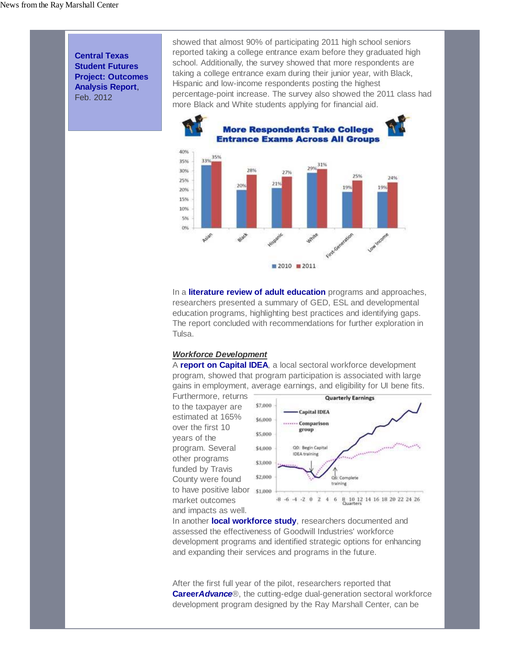**Central Texas Student Futures Project: Outcomes Analysis Report**, Feb. 2012

showed that almost 90% of participating 2011 high school seniors reported taking a college entrance exam before they graduated high school. Additionally, the survey showed that more respondents are taking a college entrance exam during their junior year, with Black, Hispanic and low-income respondents posting the highest percentage-point increase. The survey also showed the 2011 class had more Black and White students applying for financial aid.



In a **literature review of adult education** programs and approaches, researchers presented a summary of GED, ESL and developmental education programs, highlighting best practices and identifying gaps. The report concluded with recommendations for further exploration in Tulsa.

#### *Workforce Development*

A **report on Capital IDEA**, a local sectoral workforce development program, showed that program participation is associated with large gains in employment, average earnings, and eligibility for UI bene fits.

Furthermore, returns to the taxpayer are estimated at 165% over the first 10 years of the program. Several other programs funded by Travis County were found to have positive labor \$1,000 market outcomes and impacts as well.



In another **local workforce study**, researchers documented and assessed the effectiveness of Goodwill Industries' workforce development programs and identified strategic options for enhancing and expanding their services and programs in the future.

After the first full year of the pilot, researchers reported that **Career***Advance*®, the cutting-edge dual-generation sectoral workforce development program designed by the Ray Marshall Center, can be